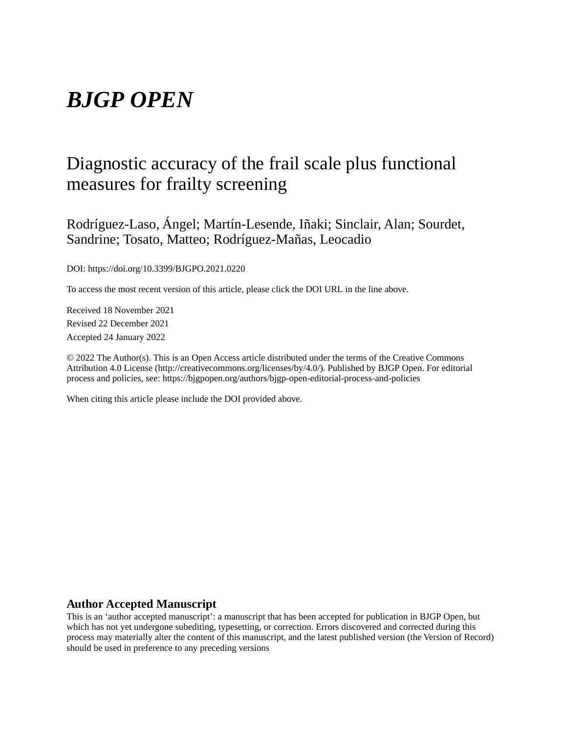# *BJGP OPEN*

# Diagnostic accuracy of the frail scale plus functional measures for frailty screening

Rodríguez-Laso, Ángel; Martín-Lesende, Iñaki; Sinclair, Alan; Sourdet, Sandrine; Tosato, Matteo; Rodríguez-Mañas, Leocadio

DOI: https://doi.org/10.3399/BJGPO.2021.0220

To access the most recent version of this article, please click the DOI URL in the line above.

Received 18 November 2021 Revised 22 December 2021 Accepted 24 January 2022

© 2022 The Author(s). This is an Open Access article distributed under the terms of the Creative Commons Attribution 4.0 License (http://creativecommons.org/licenses/by/4.0/). Published by BJGP Open. For editorial process and policies, see: https://bjgpopen.org/authors/bjgp-open-editorial-process-and-policies

When citing this article please include the DOI provided above.

## **Author Accepted Manuscript**

This is an 'author accepted manuscript': a manuscript that has been accepted for publication in BJGP Open, but which has not yet undergone subediting, typesetting, or correction. Errors discovered and corrected during this process may materially alter the content of this manuscript, and the latest published version (the Version of Record) should be used in preference to any preceding versions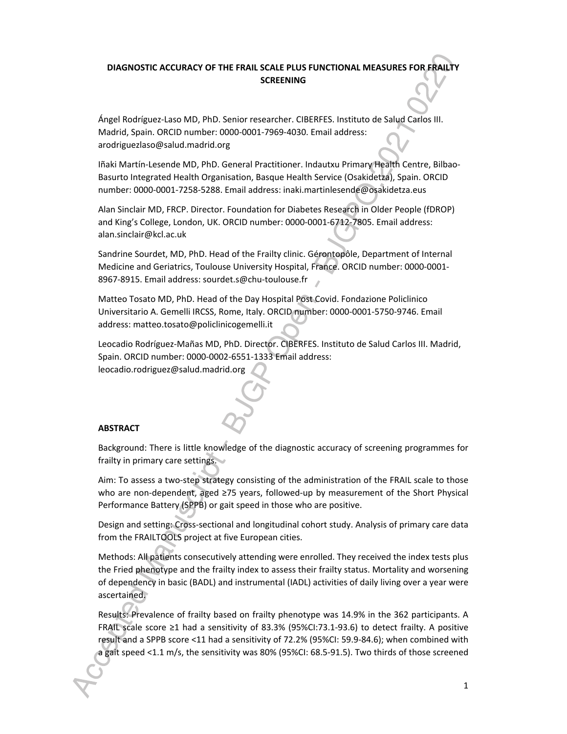# **DIAGNOSTIC ACCURACY OF THE FRAIL SCALE PLUS FUNCTIONAL MEASURES FOR FRAILTY SCREENING**

Ángel Rodríguez-Laso MD, PhD. Senior researcher. CIBERFES. Instituto de Salud Carlos III. Madrid, Spain. ORCID number: 0000-0001-7969-4030. Email address: arodriguezlaso@salud.madrid.org

Iñaki Martín-Lesende MD, PhD. General Practitioner. Indautxu Primary Health Centre, Bilbao-Basurto Integrated Health Organisation, Basque Health Service (Osakidetza), Spain. ORCID number: 0000-0001-7258-5288. Email address: inaki.martinlesende@osakidetza.eus

Alan Sinclair MD, FRCP. Director. Foundation for Diabetes Research in Older People (fDROP) and King's College, London, UK. ORCID number: 0000-0001-6712-7805. Email address: alan.sinclair@kcl.ac.uk

Sandrine Sourdet, MD, PhD. Head of the Frailty clinic. Gérontopôle, Department of Internal Medicine and Geriatrics, Toulouse University Hospital, France. ORCID number: 0000-0001- 8967-8915. Email address: sourdet.s@chu-toulouse.fr

Matteo Tosato MD, PhD. Head of the Day Hospital Post Covid. Fondazione Policlinico Universitario A. Gemelli IRCSS, Rome, Italy. ORCID number: 0000-0001-5750-9746. Email address: matteo.tosato@policlinicogemelli.it

Leocadio Rodríguez-Mañas MD, PhD. Director. CIBERFES. Instituto de Salud Carlos III. Madrid, Spain. ORCID number: 0000-0002-6551-1333 Email address: leocadio.rodriguez@salud.madrid.org

#### **ABSTRACT**

Background: There is little knowledge of the diagnostic accuracy of screening programmes for frailty in primary care settings.

Aim: To assess a two-step strategy consisting of the administration of the FRAIL scale to those who are non-dependent, aged ≥75 years, followed-up by measurement of the Short Physical Performance Battery (SPPB) or gait speed in those who are positive.

Design and setting: Cross-sectional and longitudinal cohort study. Analysis of primary care data from the FRAILTOOLS project at five European cities.

Methods: All patients consecutively attending were enrolled. They received the index tests plus the Fried phenotype and the frailty index to assess their frailty status. Mortality and worsening of dependency in basic (BADL) and instrumental (IADL) activities of daily living over a year were ascertained.

Results: Prevalence of frailty based on frailty phenotype was 14.9% in the 362 participants. A FRAIL scale score ≥1 had a sensitivity of 83.3% (95%CI:73.1-93.6) to detect frailty. A positive result and a SPPB score <11 had a sensitivity of 72.2% (95%CI: 59.9-84.6); when combined with a gait speed <1.1 m/s, the sensitivity was 80% (95%CI: 68.5-91.5). Two thirds of those screened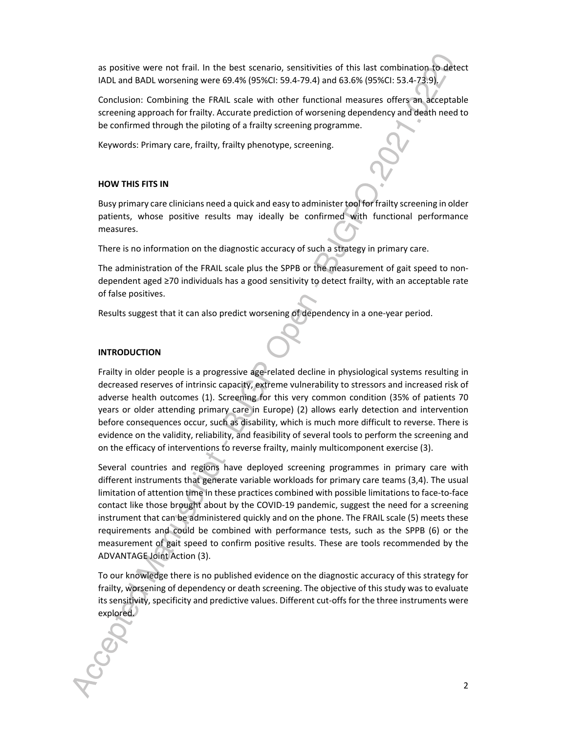as positive were not frail. In the best scenario, sensitivities of this last combination to detect IADL and BADL worsening were 69.4% (95%CI: 59.4-79.4) and 63.6% (95%CI: 53.4-73.9).

Conclusion: Combining the FRAIL scale with other functional measures offers an acceptable screening approach for frailty. Accurate prediction of worsening dependency and death need to be confirmed through the piloting of a frailty screening programme.

Keywords: Primary care, frailty, frailty phenotype, screening.

## **HOW THIS FITS IN**

Busy primary care clinicians need a quick and easy to administer tool for frailty screening in older patients, whose positive results may ideally be confirmed with functional performance measures.

There is no information on the diagnostic accuracy of such a strategy in primary care.

The administration of the FRAIL scale plus the SPPB or the measurement of gait speed to nondependent aged ≥70 individuals has a good sensitivity to detect frailty, with an acceptable rate of false positives.

Results suggest that it can also predict worsening of dependency in a one-year period.

## **INTRODUCTION**

Frailty in older people is a progressive age-related decline in physiological systems resulting in decreased reserves of intrinsic capacity, extreme vulnerability to stressors and increased risk of adverse health outcomes (1). Screening for this very common condition (35% of patients 70 years or older attending primary care in Europe) (2) allows early detection and intervention before consequences occur, such as disability, which is much more difficult to reverse. There is evidence on the validity, reliability, and feasibility of several tools to perform the screening and on the efficacy of interventions to reverse frailty, mainly multicomponent exercise (3).

Several countries and regions have deployed screening programmes in primary care with different instruments that generate variable workloads for primary care teams (3,4). The usual limitation of attention time in these practices combined with possible limitations to face-to-face contact like those brought about by the COVID-19 pandemic, suggest the need for a screening instrument that can be administered quickly and on the phone. The FRAIL scale (5) meets these requirements and could be combined with performance tests, such as the SPPB (6) or the measurement of gait speed to confirm positive results. These are tools recommended by the ADVANTAGE Joint Action (3).

To our knowledge there is no published evidence on the diagnostic accuracy of this strategy for frailty, worsening of dependency or death screening. The objective of this study was to evaluate its sensitivity, specificity and predictive values. Different cut-offs for the three instruments were explored.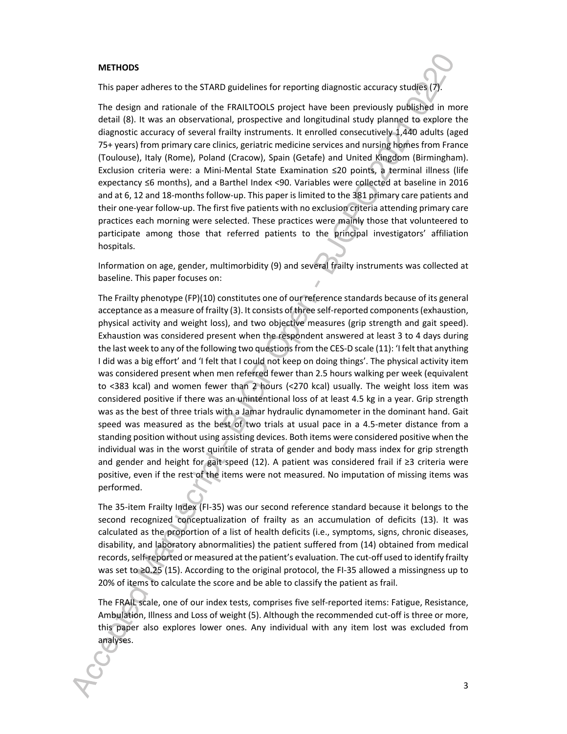#### **METHODS**

This paper adheres to the STARD guidelines for reporting diagnostic accuracy studies (7).

The design and rationale of the FRAILTOOLS project have been previously published in more detail (8). It was an observational, prospective and longitudinal study planned to explore the diagnostic accuracy of several frailty instruments. It enrolled consecutively 1,440 adults (aged 75+ years) from primary care clinics, geriatric medicine services and nursing homes from France (Toulouse), Italy (Rome), Poland (Cracow), Spain (Getafe) and United Kingdom (Birmingham). Exclusion criteria were: a Mini-Mental State Examination ≤20 points, a terminal illness (life expectancy ≤6 months), and a Barthel Index <90. Variables were collected at baseline in 2016 and at 6, 12 and 18-months follow-up. This paper is limited to the 381 primary care patients and their one-year follow-up. The first five patients with no exclusion criteria attending primary care practices each morning were selected. These practices were mainly those that volunteered to participate among those that referred patients to the principal investigators' affiliation hospitals.

Information on age, gender, multimorbidity (9) and several frailty instruments was collected at baseline. This paper focuses on:

The Frailty phenotype (FP)(10) constitutes one of our reference standards because of its general acceptance as a measure of frailty (3). It consists of three self-reported components (exhaustion, physical activity and weight loss), and two objective measures (grip strength and gait speed). Exhaustion was considered present when the respondent answered at least 3 to 4 days during the last week to any of the following two questions from the CES-D scale (11): 'I felt that anything I did was a big effort' and 'I felt that I could not keep on doing things'. The physical activity item was considered present when men referred fewer than 2.5 hours walking per week (equivalent to <383 kcal) and women fewer than 2 hours (<270 kcal) usually. The weight loss item was considered positive if there was an unintentional loss of at least 4.5 kg in a year. Grip strength was as the best of three trials with a Jamar hydraulic dynamometer in the dominant hand. Gait speed was measured as the best of two trials at usual pace in a 4.5-meter distance from a standing position without using assisting devices. Both items were considered positive when the individual was in the worst quintile of strata of gender and body mass index for grip strength and gender and height for gait speed (12). A patient was considered frail if ≥3 criteria were positive, even if the rest of the items were not measured. No imputation of missing items was performed.

The 35-item Frailty Index (FI-35) was our second reference standard because it belongs to the second recognized conceptualization of frailty as an accumulation of deficits (13). It was calculated as the proportion of a list of health deficits (i.e., symptoms, signs, chronic diseases, disability, and laboratory abnormalities) the patient suffered from (14) obtained from medical records, self-reported or measured at the patient's evaluation. The cut-off used to identify frailty was set to ≥0.25 (15). According to the original protocol, the FI-35 allowed a missingness up to 20% of items to calculate the score and be able to classify the patient as frail.

The FRAIL scale, one of our index tests, comprises five self-reported items: Fatigue, Resistance, Ambulation, Illness and Loss of weight (5). Although the recommended cut-off is three or more, this paper also explores lower ones. Any individual with any item lost was excluded from analyses.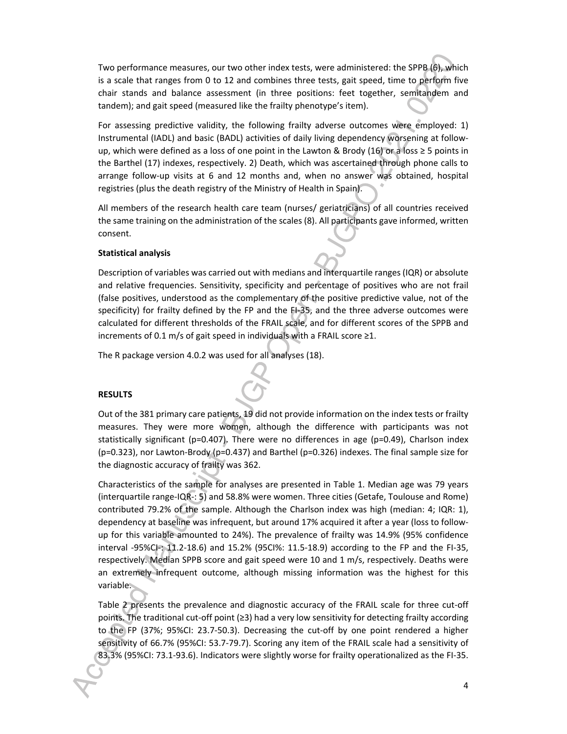Two performance measures, our two other index tests, were administered: the SPPB (6), which is a scale that ranges from 0 to 12 and combines three tests, gait speed, time to perform five chair stands and balance assessment (in three positions: feet together, semitandem and tandem); and gait speed (measured like the frailty phenotype's item).

For assessing predictive validity, the following frailty adverse outcomes were employed: 1) Instrumental (IADL) and basic (BADL) activities of daily living dependency worsening at followup, which were defined as a loss of one point in the Lawton & Brody (16) or a loss  $\geq$  5 points in the Barthel (17) indexes, respectively. 2) Death, which was ascertained through phone calls to arrange follow-up visits at 6 and 12 months and, when no answer was obtained, hospital registries (plus the death registry of the Ministry of Health in Spain).

All members of the research health care team (nurses/ geriatricians) of all countries received the same training on the administration of the scales (8). All participants gave informed, written consent.

#### **Statistical analysis**

Description of variables was carried out with medians and interquartile ranges (IQR) or absolute and relative frequencies. Sensitivity, specificity and percentage of positives who are not frail (false positives, understood as the complementary of the positive predictive value, not of the specificity) for frailty defined by the FP and the FI-35, and the three adverse outcomes were calculated for different thresholds of the FRAIL scale, and for different scores of the SPPB and increments of 0.1 m/s of gait speed in individuals with a FRAIL score ≥1.

The R package version 4.0.2 was used for all analyses (18).

#### **RESULTS**

Out of the 381 primary care patients, 19 did not provide information on the index tests or frailty measures. They were more women, although the difference with participants was not statistically significant ( $p=0.407$ ). There were no differences in age ( $p=0.49$ ), Charlson index (p=0.323), nor Lawton-Brody (p=0.437) and Barthel (p=0.326) indexes. The final sample size for the diagnostic accuracy of frailty was 362.

Characteristics of the sample for analyses are presented in Table 1. Median age was 79 years (interquartile range-IQR-: 5) and 58.8% were women. Three cities (Getafe, Toulouse and Rome) contributed 79.2% of the sample. Although the Charlson index was high (median: 4; IQR: 1), dependency at baseline was infrequent, but around 17% acquired it after a year (loss to followup for this variable amounted to 24%). The prevalence of frailty was 14.9% (95% confidence interval -95%CI-: 11.2-18.6) and 15.2% (95CI%: 11.5-18.9) according to the FP and the FI-35, respectively. Median SPPB score and gait speed were 10 and 1 m/s, respectively. Deaths were an extremely infrequent outcome, although missing information was the highest for this variable.

Table 2 presents the prevalence and diagnostic accuracy of the FRAIL scale for three cut-off points. The traditional cut-off point (≥3) had a very low sensitivity for detecting frailty according to the FP (37%; 95%CI: 23.7-50.3). Decreasing the cut-off by one point rendered a higher sensitivity of 66.7% (95%CI: 53.7-79.7). Scoring any item of the FRAIL scale had a sensitivity of 83.3% (95%CI: 73.1-93.6). Indicators were slightly worse for frailty operationalized as the FI-35.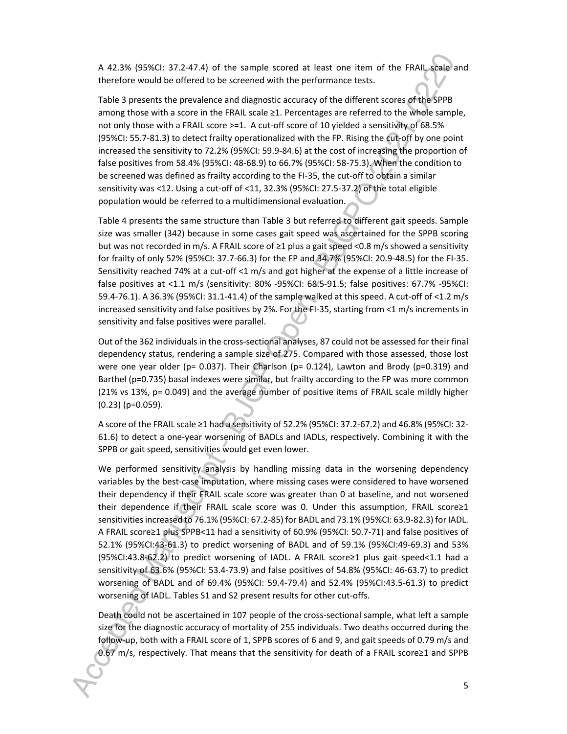A 42.3% (95%CI: 37.2-47.4) of the sample scored at least one item of the FRAIL scale and therefore would be offered to be screened with the performance tests.

Table 3 presents the prevalence and diagnostic accuracy of the different scores of the SPPB among those with a score in the FRAIL scale ≥1. Percentages are referred to the whole sample, not only those with a FRAIL score >=1. A cut-off score of 10 yielded a sensitivity of 68.5% (95%CI: 55.7-81.3) to detect frailty operationalized with the FP. Rising the cut-off by one point increased the sensitivity to 72.2% (95%CI: 59.9-84.6) at the cost of increasing the proportion of false positives from 58.4% (95%CI: 48-68.9) to 66.7% (95%CI: 58-75.3). When the condition to be screened was defined as frailty according to the FI-35, the cut-off to obtain a similar sensitivity was <12. Using a cut-off of <11, 32.3% (95%CI: 27.5-37.2) of the total eligible population would be referred to a multidimensional evaluation.

Table 4 presents the same structure than Table 3 but referred to different gait speeds. Sample size was smaller (342) because in some cases gait speed was ascertained for the SPPB scoring but was not recorded in m/s. A FRAIL score of  $\geq 1$  plus a gait speed <0.8 m/s showed a sensitivity for frailty of only 52% (95%CI: 37.7-66.3) for the FP and 34.7% (95%CI: 20.9-48.5) for the FI-35. Sensitivity reached 74% at a cut-off <1 m/s and got higher at the expense of a little increase of false positives at <1.1 m/s (sensitivity: 80% -95%CI: 68.5-91.5; false positives: 67.7% -95%CI: 59.4-76.1). A 36.3% (95%CI: 31.1-41.4) of the sample walked at this speed. A cut-off of <1.2 m/s increased sensitivity and false positives by 2%. For the FI-35, starting from <1 m/s increments in sensitivity and false positives were parallel.

Out of the 362 individuals in the cross-sectional analyses, 87 could not be assessed for their final dependency status, rendering a sample size of 275. Compared with those assessed, those lost were one year older (p= 0.037). Their Charlson (p= 0.124), Lawton and Brody (p=0.319) and Barthel (p=0.735) basal indexes were similar, but frailty according to the FP was more common (21% vs 13%, p= 0.049) and the average number of positive items of FRAIL scale mildly higher (0.23) (p=0.059).

A score of the FRAIL scale ≥1 had a sensitivity of 52.2% (95%CI: 37.2-67.2) and 46.8% (95%CI: 32- 61.6) to detect a one-year worsening of BADLs and IADLs, respectively. Combining it with the SPPB or gait speed, sensitivities would get even lower.

We performed sensitivity analysis by handling missing data in the worsening dependency variables by the best-case imputation, where missing cases were considered to have worsened their dependency if their FRAIL scale score was greater than 0 at baseline, and not worsened their dependence if their FRAIL scale score was 0. Under this assumption, FRAIL score≥1 sensitivities increased to 76.1% (95%CI: 67.2-85) for BADL and 73.1% (95%CI: 63.9-82.3) for IADL. A FRAIL score≥1 plus SPPB<11 had a sensitivity of 60.9% (95%CI: 50.7-71) and false positives of 52.1% (95%CI:43-61.3) to predict worsening of BADL and of 59.1% (95%CI:49-69.3) and 53% (95%CI:43.8-62.2) to predict worsening of IADL. A FRAIL score≥1 plus gait speed<1.1 had a sensitivity of 63.6% (95%CI: 53.4-73.9) and false positives of 54.8% (95%CI: 46-63.7) to predict worsening of BADL and of 69.4% (95%CI: 59.4-79.4) and 52.4% (95%CI:43.5-61.3) to predict worsening of IADL. Tables S1 and S2 present results for other cut-offs.

Death could not be ascertained in 107 people of the cross-sectional sample, what left a sample size for the diagnostic accuracy of mortality of 255 individuals. Two deaths occurred during the follow-up, both with a FRAIL score of 1, SPPB scores of 6 and 9, and gait speeds of 0.79 m/s and 0.67 m/s, respectively. That means that the sensitivity for death of a FRAIL score≥1 and SPPB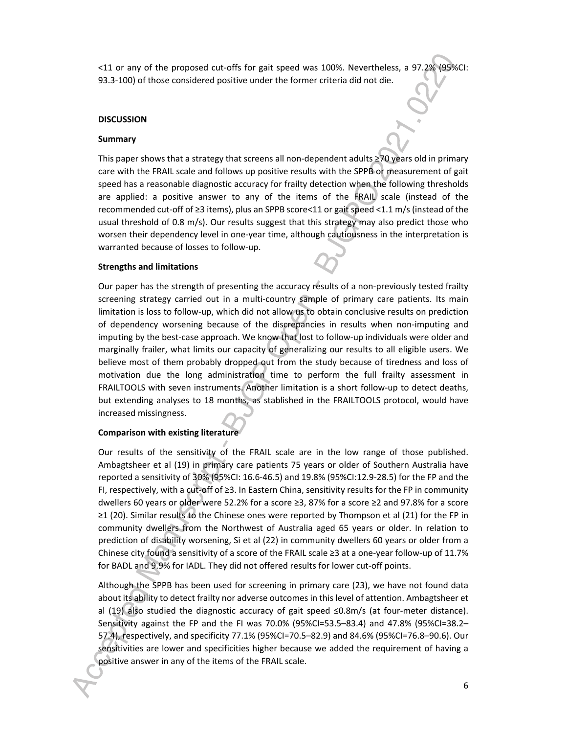<11 or any of the proposed cut-offs for gait speed was 100%. Nevertheless, a 97.2% (95%CI: 93.3-100) of those considered positive under the former criteria did not die.

#### **DISCUSSION**

#### **Summary**

This paper shows that a strategy that screens all non-dependent adults  $\geq 70$  years old in primary care with the FRAIL scale and follows up positive results with the SPPB or measurement of gait speed has a reasonable diagnostic accuracy for frailty detection when the following thresholds are applied: a positive answer to any of the items of the FRAIL scale (instead of the recommended cut-off of ≥3 items), plus an SPPB score<11 or gait speed <1.1 m/s (instead of the usual threshold of 0.8 m/s). Our results suggest that this strategy may also predict those who worsen their dependency level in one-year time, although cautiousness in the interpretation is warranted because of losses to follow-up.

#### **Strengths and limitations**

Our paper has the strength of presenting the accuracy results of a non-previously tested frailty screening strategy carried out in a multi-country sample of primary care patients. Its main limitation is loss to follow-up, which did not allow us to obtain conclusive results on prediction of dependency worsening because of the discrepancies in results when non-imputing and imputing by the best-case approach. We know that lost to follow-up individuals were older and marginally frailer, what limits our capacity of generalizing our results to all eligible users. We believe most of them probably dropped out from the study because of tiredness and loss of motivation due the long administration time to perform the full frailty assessment in FRAILTOOLS with seven instruments. Another limitation is a short follow-up to detect deaths, but extending analyses to 18 months, as stablished in the FRAILTOOLS protocol, would have increased missingness.

#### **Comparison with existing literature**

Our results of the sensitivity of the FRAIL scale are in the low range of those published. Ambagtsheer et al (19) in primary care patients 75 years or older of Southern Australia have reported a sensitivity of 30% (95%CI: 16.6-46.5) and 19.8% (95%CI:12.9-28.5) for the FP and the FI, respectively, with a cut-off of ≥3. In Eastern China, sensitivity results for the FP in community dwellers 60 years or older were 52.2% for a score ≥3, 87% for a score ≥2 and 97.8% for a score ≥1 (20). Similar results to the Chinese ones were reported by Thompson et al (21) for the FP in community dwellers from the Northwest of Australia aged 65 years or older. In relation to prediction of disability worsening, Si et al (22) in community dwellers 60 years or older from a Chinese city found a sensitivity of a score of the FRAIL scale ≥3 at a one-year follow-up of 11.7% for BADL and 9.9% for IADL. They did not offered results for lower cut-off points.

Although the SPPB has been used for screening in primary care (23), we have not found data about its ability to detect frailty nor adverse outcomes in this level of attention. Ambagtsheer et al (19) also studied the diagnostic accuracy of gait speed ≤0.8m/s (at four-meter distance). Sensitivity against the FP and the FI was 70.0% (95%CI=53.5–83.4) and 47.8% (95%CI=38.2– 57.4), respectively, and specificity 77.1% (95%CI=70.5–82.9) and 84.6% (95%CI=76.8–90.6). Our sensitivities are lower and specificities higher because we added the requirement of having a positive answer in any of the items of the FRAIL scale.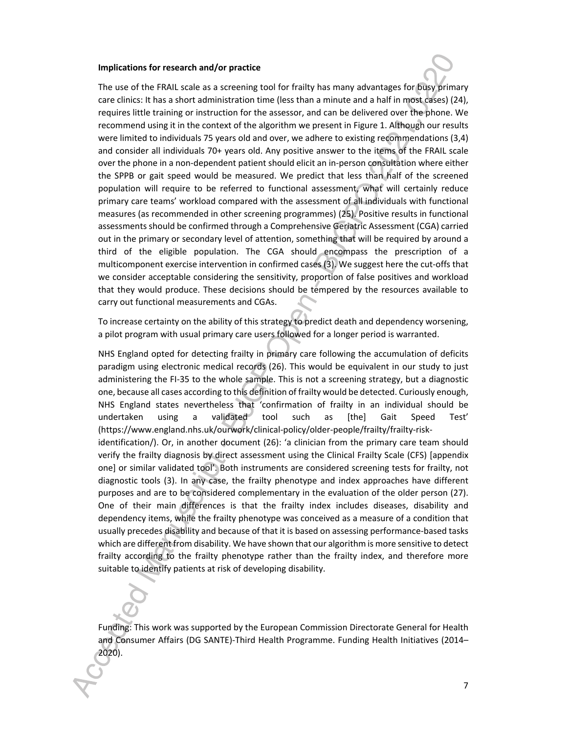#### **Implications for research and/or practice**

The use of the FRAIL scale as a screening tool for frailty has many advantages for busy primary care clinics: It has a short administration time (less than a minute and a half in most cases) (24), requires little training or instruction for the assessor, and can be delivered over the phone. We recommend using it in the context of the algorithm we present in Figure 1. Although our results were limited to individuals 75 years old and over, we adhere to existing recommendations (3,4) and consider all individuals 70+ years old. Any positive answer to the items of the FRAIL scale over the phone in a non-dependent patient should elicit an in-person consultation where either the SPPB or gait speed would be measured. We predict that less than half of the screened population will require to be referred to functional assessment, what will certainly reduce primary care teams' workload compared with the assessment of all individuals with functional measures (as recommended in other screening programmes) (25). Positive results in functional assessments should be confirmed through a Comprehensive Geriatric Assessment (CGA) carried out in the primary or secondary level of attention, something that will be required by around a third of the eligible population. The CGA should encompass the prescription of a multicomponent exercise intervention in confirmed cases (3). We suggest here the cut-offs that we consider acceptable considering the sensitivity, proportion of false positives and workload that they would produce. These decisions should be tempered by the resources available to carry out functional measurements and CGAs.

To increase certainty on the ability of this strategy to predict death and dependency worsening, a pilot program with usual primary care users followed for a longer period is warranted.

NHS England opted for detecting frailty in primary care following the accumulation of deficits paradigm using electronic medical records (26). This would be equivalent in our study to just administering the FI-35 to the whole sample. This is not a screening strategy, but a diagnostic one, because all cases according to this definition of frailty would be detected. Curiously enough, NHS England states nevertheless that 'confirmation of frailty in an individual should be undertaken using a validated tool such as [the] Gait Speed Test' (https://www.england.nhs.uk/ourwork/clinical-policy/older-people/frailty/frailty-riskidentification/). Or, in another document (26): 'a clinician from the primary care team should verify the frailty diagnosis by direct assessment using the Clinical Frailty Scale (CFS) [appendix one] or similar validated tool'. Both instruments are considered screening tests for frailty, not diagnostic tools (3). In any case, the frailty phenotype and index approaches have different purposes and are to be considered complementary in the evaluation of the older person (27). One of their main differences is that the frailty index includes diseases, disability and dependency items, while the frailty phenotype was conceived as a measure of a condition that usually precedes disability and because of that it is based on assessing performance-based tasks which are different from disability. We have shown that our algorithm is more sensitive to detect frailty according to the frailty phenotype rather than the frailty index, and therefore more suitable to identify patients at risk of developing disability.

Funding: This work was supported by the European Commission Directorate General for Health and Consumer Affairs (DG SANTE)-Third Health Programme. Funding Health Initiatives (2014– 2020).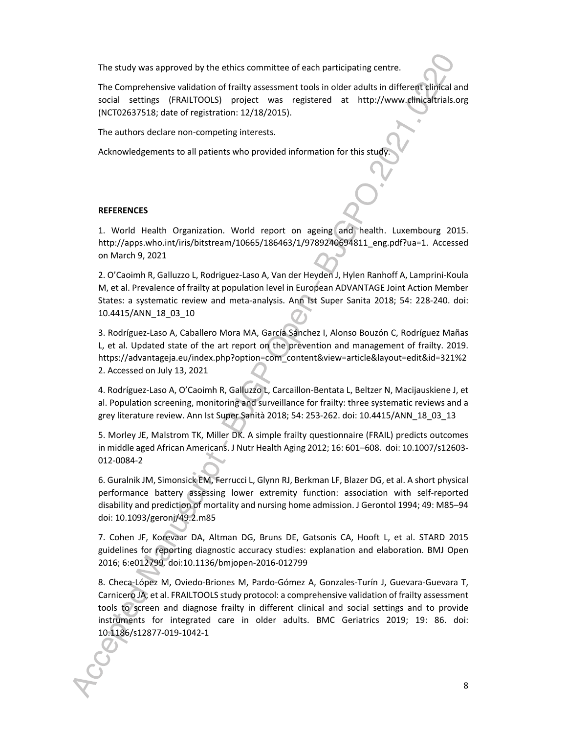The study was approved by the ethics committee of each participating centre.

The Comprehensive validation of frailty assessment tools in older adults in different clinical and social settings (FRAILTOOLS) project was registered at http://www.clinicaltrials.org (NCT02637518; date of registration: 12/18/2015).

The authors declare non-competing interests.

Acknowledgements to all patients who provided information for this study

#### **REFERENCES**

1. World Health Organization. World report on ageing and health. Luxembourg 2015. http://apps.who.int/iris/bitstream/10665/186463/1/9789240694811\_eng.pdf?ua=1. Accessed on March 9, 2021

2. O'Caoimh R, Galluzzo L, Rodriguez-Laso A, Van der Heyden J, Hylen Ranhoff A, Lamprini-Koula M, et al. Prevalence of frailty at population level in European ADVANTAGE Joint Action Member States: a systematic review and meta-analysis. Ann Ist Super Sanita 2018; 54: 228-240. doi: 10.4415/ANN\_18\_03\_10

3. Rodríguez-Laso A, Caballero Mora MA, García Sánchez I, Alonso Bouzón C, Rodríguez Mañas L, et al. Updated state of the art report on the prevention and management of frailty. 2019. https://advantageja.eu/index.php?option=com\_content&view=article&layout=edit&id=321%2 2. Accessed on July 13, 2021

4. Rodríguez-Laso A, O'Caoimh R, Galluzzo L, Carcaillon-Bentata L, Beltzer N, Macijauskiene J, et al. Population screening, monitoring and surveillance for frailty: three systematic reviews and a grey literature review. Ann Ist Super Sanità 2018; 54: 253-262. doi: 10.4415/ANN\_18\_03\_13

5. Morley JE, Malstrom TK, Miller DK. A simple frailty questionnaire (FRAIL) predicts outcomes in middle aged African Americans. J Nutr Health Aging 2012; 16: 601–608. doi: 10.1007/s12603- 012-0084-2

6. Guralnik JM, Simonsick EM, Ferrucci L, Glynn RJ, Berkman LF, Blazer DG, et al. A short physical performance battery assessing lower extremity function: association with self-reported disability and prediction of mortality and nursing home admission. J Gerontol 1994; 49: M85–94 doi: 10.1093/geronj/49.2.m85

7. Cohen JF, Korevaar DA, Altman DG, Bruns DE, Gatsonis CA, Hooft L, et al. STARD 2015 guidelines for reporting diagnostic accuracy studies: explanation and elaboration. BMJ Open 2016; 6:e012799. doi:10.1136/bmjopen-2016-012799

8. Checa-López M, Oviedo-Briones M, Pardo-Gómez A, Gonzales-Turín J, Guevara-Guevara T, Carnicero JA, et al. FRAILTOOLS study protocol: a comprehensive validation of frailty assessment tools to screen and diagnose frailty in different clinical and social settings and to provide instruments for integrated care in older adults. BMC Geriatrics 2019; 19: 86. doi: 10.1186/s12877-019-1042-1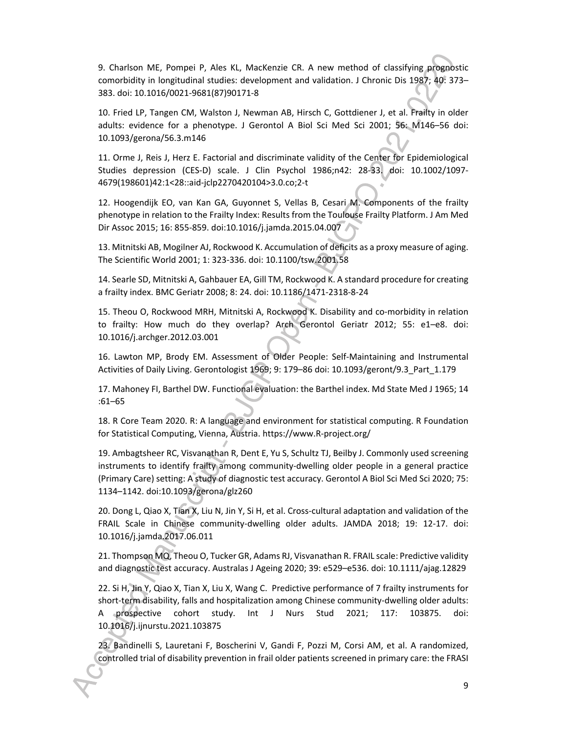9. Charlson ME, Pompei P, Ales KL, MacKenzie CR. A new method of classifying prognostic comorbidity in longitudinal studies: development and validation. J Chronic Dis 1987; 40: 373– 383. doi: 10.1016/0021-9681(87)90171-8

10. Fried LP, Tangen CM, Walston J, Newman AB, Hirsch C, Gottdiener J, et al. Frailty in older adults: evidence for a phenotype. J Gerontol A Biol Sci Med Sci 2001; 56: M146–56 doi: 10.1093/gerona/56.3.m146

11. Orme J, Reis J, Herz E. Factorial and discriminate validity of the Center for Epidemiological Studies depression (CES-D) scale. J Clin Psychol 1986;n42: 28-33. doi: 10.1002/1097- 4679(198601)42:1<28::aid-jclp2270420104>3.0.co;2-t

12. Hoogendijk EO, van Kan GA, Guyonnet S, Vellas B, Cesari M. Components of the frailty phenotype in relation to the Frailty Index: Results from the Toulouse Frailty Platform. J Am Med Dir Assoc 2015; 16: 855-859. doi:10.1016/j.jamda.2015.04.007

13. Mitnitski AB, Mogilner AJ, Rockwood K. Accumulation of deficits as a proxy measure of aging. The Scientific World 2001; 1: 323-336. doi: 10.1100/tsw.2001.58

14. Searle SD, Mitnitski A, Gahbauer EA, Gill TM, Rockwood K. A standard procedure for creating a frailty index. BMC Geriatr 2008; 8: 24. doi: 10.1186/1471-2318-8-24

15. Theou O, Rockwood MRH, Mitnitski A, Rockwood K. Disability and co-morbidity in relation to frailty: How much do they overlap? Arch Gerontol Geriatr 2012; 55: e1–e8. doi: 10.1016/j.archger.2012.03.001

16. Lawton MP, Brody EM. Assessment of Older People: Self-Maintaining and Instrumental Activities of Daily Living. Gerontologist 1969; 9: 179–86 doi: 10.1093/geront/9.3\_Part\_1.179

17. Mahoney FI, Barthel DW. Functional evaluation: the Barthel index. Md State Med J 1965; 14 :61–65

18. R Core Team 2020. R: A language and environment for statistical computing. R Foundation for Statistical Computing, Vienna, Austria. https://www.R-project.org/

19. Ambagtsheer RC, Visvanathan R, Dent E, Yu S, Schultz TJ, Beilby J. Commonly used screening instruments to identify frailty among community-dwelling older people in a general practice (Primary Care) setting: A study of diagnostic test accuracy. Gerontol A Biol Sci Med Sci 2020; 75: 1134–1142. doi:10.1093/gerona/glz260

20. Dong L, Qiao X, Tian X, Liu N, Jin Y, Si H, et al. Cross-cultural adaptation and validation of the FRAIL Scale in Chinese community-dwelling older adults. JAMDA 2018; 19: 12-17. doi: 10.1016/j.jamda.2017.06.011

21. Thompson MQ, Theou O, Tucker GR, Adams RJ, Visvanathan R. FRAIL scale: Predictive validity and diagnostic test accuracy. Australas J Ageing 2020; 39: e529–e536. doi: 10.1111/ajag.12829

22. Si H, Jin Y, Qiao X, Tian X, Liu X, Wang C. Predictive performance of 7 frailty instruments for short-term disability, falls and hospitalization among Chinese community-dwelling older adults: A prospective cohort study. Int J Nurs Stud 2021; 117: 103875. doi: 10.1016/j.ijnurstu.2021.103875

23. Bandinelli S, Lauretani F, Boscherini V, Gandi F, Pozzi M, Corsi AM, et al. A randomized, controlled trial of disability prevention in frail older patients screened in primary care: the FRASI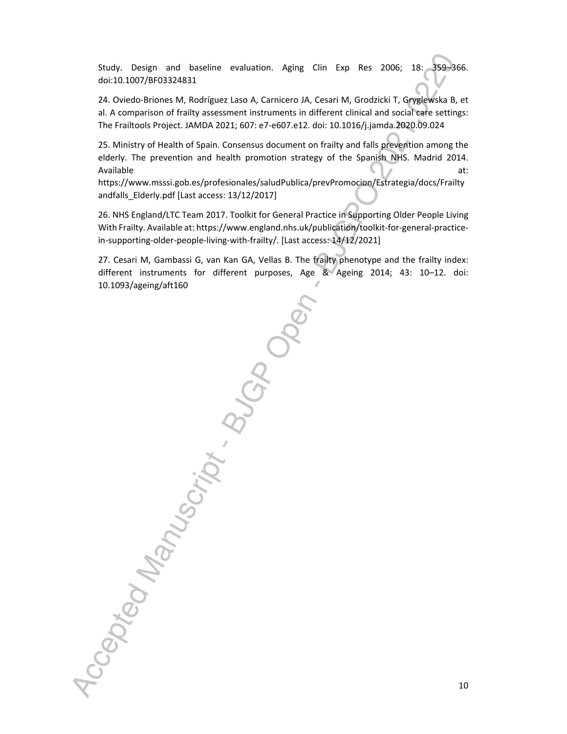Study. Design and baseline evaluation. Aging Clin Exp Res 2006; 18: 359–366. doi:10.1007/BF03324831

24. Oviedo-Briones M, Rodríguez Laso A, Carnicero JA, Cesari M, Grodzicki T, Gryglewska B, et al. A comparison of frailty assessment instruments in different clinical and social care settings: The Frailtools Project. JAMDA 2021; 607: e7-e607.e12. doi: 10.1016/j.jamda.2020.09.024

25. Ministry of Health of Spain. Consensus document on frailty and falls prevention among the elderly. The prevention and health promotion strategy of the Spanish NHS. Madrid 2014. Available at:

https://www.msssi.gob.es/profesionales/saludPublica/prevPromocion/Estrategia/docs/Frailty andfalls\_Elderly.pdf [Last access: 13/12/2017]

26. NHS England/LTC Team 2017. Toolkit for General Practice in Supporting Older People Living With Frailty. Available at: https://www.england.nhs.uk/publication/toolkit-for-general-practicein-supporting-older-people-living-with-frailty/. [Last access: 14/12/2021]

27. Cesari M, Gambassi G, van Kan GA, Vellas B. The frailty phenotype and the frailty index: different instruments for different purposes, Age & Ageing 2014; 43: 10–12. doi: 10.1093/ageing/aft160

Accepted Manuscript . But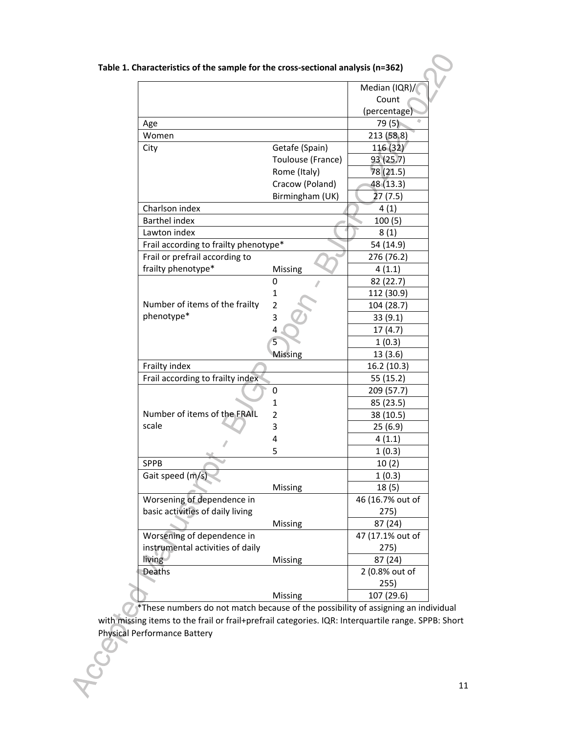|                                       |                   | Median (IQR)/    |
|---------------------------------------|-------------------|------------------|
|                                       |                   | Count            |
|                                       |                   | (percentage)     |
| Age                                   |                   | 79(5)            |
| Women                                 |                   | 213 (58.8)       |
| City                                  | Getafe (Spain)    | 116 (32)         |
|                                       | Toulouse (France) | 93 (25.7)        |
|                                       | Rome (Italy)      | 78 (21.5)        |
|                                       | Cracow (Poland)   | 48 (13.3)        |
|                                       | Birmingham (UK)   | 27 (7.5)         |
| Charlson index                        |                   | 4(1)             |
| <b>Barthel index</b>                  |                   | 100(5)           |
| Lawton index                          |                   | 8(1)             |
| Frail according to frailty phenotype* |                   | 54 (14.9)        |
| Frail or prefrail according to        |                   | 276 (76.2)       |
| frailty phenotype*                    | Missing           | 4(1.1)           |
|                                       | 0                 | 82 (22.7)        |
|                                       | 1                 | 112 (30.9)       |
| Number of items of the frailty        | 2                 | 104 (28.7)       |
| phenotype*                            | 3                 | 33(9.1)          |
|                                       | 4                 | 17(4.7)          |
|                                       | 5                 | 1(0.3)           |
|                                       | Missing           | 13 (3.6)         |
| Frailty index                         |                   | 16.2 (10.3)      |
| Frail according to frailty index      |                   | 55 (15.2)        |
|                                       | 0                 | 209 (57.7)       |
|                                       | 1                 | 85 (23.5)        |
| Number of items of the FRAIL          | 2                 | 38 (10.5)        |
| scale                                 | 3                 | 25 (6.9)         |
|                                       | 4                 | 4(1.1)           |
|                                       | 5                 | 1(0.3)           |
| <b>SPPB</b>                           |                   | 10(2)            |
| Gait speed (m/s)                      |                   | 1(0.3)           |
|                                       | Missing           | 18(5)            |
| Worsening of dependence in            |                   | 46 (16.7% out of |
| basic activities of daily living      |                   | 275)             |
|                                       | Missing           | 87 (24)          |
| Worsening of dependence in            |                   | 47 (17.1% out of |
| instrumental activities of daily      |                   | 275)             |
| living                                | Missing           | 87 (24)          |
| Deaths                                |                   | 2 (0.8% out of   |
|                                       |                   | 255)             |
|                                       | Missing           | 107 (29.6)       |
|                                       |                   |                  |

**Table 1. Characteristics of the sample for the cross-sectional analysis (n=362)**

 $\mathcal{O}^*$ These numbers do not match because of the possibility of assigning an individual with missing items to the frail or frail+prefrail categories. IQR: Interquartile range. SPPB: Short Physical Performance Battery

**POCE**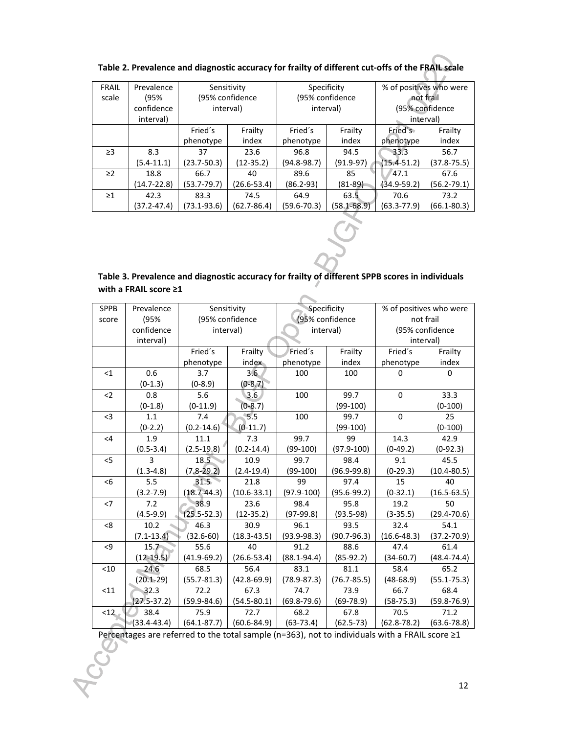| <b>FRAIL</b> | Prevalence     | Sensitivity     |                 | Specificity     |                 | % of positives who were |                 |
|--------------|----------------|-----------------|-----------------|-----------------|-----------------|-------------------------|-----------------|
| scale        | (95%           | (95% confidence |                 | (95% confidence |                 | not frail               |                 |
|              | confidence     | interval)       |                 | interval)       |                 | (95% confidence         |                 |
|              | interval)      |                 |                 |                 |                 | interval)               |                 |
|              |                | Fried's         | Frailty         | Fried's         | Frailty         | Fried's                 | Frailty         |
|              |                | phenotype       | index           | phenotype       | index           | phenotype               | index           |
| $\geq$ 3     | 8.3            | 37              | 23.6            | 96.8            | 94.5            | 33.3                    | 56.7            |
|              | $(5.4 - 11.1)$ | $(23.7 - 50.3)$ | $(12-35.2)$     | $(94.8 - 98.7)$ | (91.9-97)       | $(15.4 - 51.2)$         | $(37.8 - 75.5)$ |
| $\geq$ 2     | 18.8           | 66.7            | 40              | 89.6            | 85              | 47.1                    | 67.6            |
|              | (14.7-22.8)    | $(53.7 - 79.7)$ | (26.6-53.4)     | $(86.2 - 93)$   | $(81 - 89)$     | (34.9-59.2)             | $(56.2 - 79.1)$ |
| $\geq$ 1     | 42.3           | 83.3            | 74.5            | 64.9            | 63.5            | 70.6                    | 73.2            |
|              | (37.2-47.4)    | $(73.1 - 93.6)$ | $(62.7 - 86.4)$ | (59.6-70.3)     | $(58.1 - 68.9)$ | (63.3-77.9)             | $(66.1 - 80.3)$ |
|              |                |                 |                 |                 |                 |                         |                 |

| Table 2. Prevalence and diagnostic accuracy for frailty of different cut-offs of the FRAIL scale |  |
|--------------------------------------------------------------------------------------------------|--|
|--------------------------------------------------------------------------------------------------|--|

| Table 3. Prevalence and diagnostic accuracy for frailty of different SPPB scores in individuals |  |
|-------------------------------------------------------------------------------------------------|--|
| with a FRAIL score $\geq 1$                                                                     |  |

| <b>SPPB</b> | Prevalence      | Sensitivity     |                 | Specificity     |                 | % of positives who were |                 |
|-------------|-----------------|-----------------|-----------------|-----------------|-----------------|-------------------------|-----------------|
| score       | (95%            | (95% confidence |                 | (95% confidence |                 | not frail               |                 |
|             | confidence      | interval)       |                 | interval)       |                 | (95% confidence         |                 |
|             | interval)       |                 |                 |                 |                 | interval)               |                 |
|             |                 | Fried's         | Frailty         | Fried's         | Frailty         | Fried's                 | Frailty         |
|             |                 | phenotype       | index           | phenotype       | index           | phenotype               | index           |
| $\leq$ 1    | 0.6             | 3.7             | 3.6             | 100             | 100             | $\Omega$                | $\Omega$        |
|             | $(0-1.3)$       | $(0-8.9)$       | $(0-8.7)$       |                 |                 |                         |                 |
| $2$         | 0.8             | 5.6             | 3.6             | 100             | 99.7            | $\mathbf 0$             | 33.3            |
|             | $(0-1.8)$       | $(0-11.9)$      | $(0-8.7)$       |                 | $(99-100)$      |                         | $(0-100)$       |
| $3$         | 1.1             | 7.4             | 5.5             | 100             | 99.7            | $\mathbf 0$             | 25              |
|             | $(0-2.2)$       | $(0.2 - 14.6)$  | $(0-11.7)$      |                 | $(99-100)$      |                         | $(0-100)$       |
| <4          | 1.9             | 11.1            | 7.3             | 99.7            | 99              | 14.3                    | 42.9            |
|             | $(0.5 - 3.4)$   | $(2.5-19.8)$    | $(0.2 - 14.4)$  | $(99-100)$      | $(97.9 - 100)$  | $(0-49.2)$              | $(0-92.3)$      |
| $<$ 5       | 3               | 18.5            | 10.9            | 99.7            | 98.4            | 9.1                     | 45.5            |
|             | $(1.3-4.8)$     | $(7.8 - 29.2)$  | $(2.4 - 19.4)$  | $(99-100)$      | $(96.9 - 99.8)$ | $(0-29.3)$              | $(10.4 - 80.5)$ |
| <6          | 5.5             | 31.5            | 21.8            | 99              | 97.4            | 15                      | 40              |
|             | $(3.2 - 7.9)$   | $(18.7 - 44.3)$ | $(10.6 - 33.1)$ | $(97.9 - 100)$  | $(95.6 - 99.2)$ | $(0-32.1)$              | $(16.5 - 63.5)$ |
| $<$ 7       | 7.2             | 38.9            | 23.6            | 98.4            | 95.8            | 19.2                    | 50              |
|             | $(4.5-9.9)$     | $(25.5 - 52.3)$ | $(12-35.2)$     | $(97-99.8)$     | $(93.5-98)$     | $(3-35.5)$              | $(29.4 - 70.6)$ |
| < 8         | 10.2            | 46.3            | 30.9            | 96.1            | 93.5            | 32.4                    | 54.1            |
|             | $(7.1 - 13.4)$  | $(32.6 - 60)$   | $(18.3 - 43.5)$ | $(93.9 - 98.3)$ | $(90.7 - 96.3)$ | $(16.6 - 48.3)$         | $(37.2 - 70.9)$ |
| $\leq$ 9    | 15.7            | 55.6            | 40              | 91.2            | 88.6            | 47.4                    | 61.4            |
|             | $(12-19.5)$     | $(41.9 - 69.2)$ | $(26.6 - 53.4)$ | $(88.1 - 94.4)$ | $(85-92.2)$     | $(34-60.7)$             | $(48.4 - 74.4)$ |
| $<$ 10      | 24.6            | 68.5            | 56.4            | 83.1            | 81.1            | 58.4                    | 65.2            |
|             | $(20.1 - 29)$   | $(55.7 - 81.3)$ | $(42.8 - 69.9)$ | $(78.9 - 87.3)$ | $(76.7 - 85.5)$ | $(48-68.9)$             | $(55.1 - 75.3)$ |
| $11$        | 32.3            | 72.2            | 67.3            | 74.7            | 73.9            | 66.7                    | 68.4            |
|             | $(27.5 - 37.2)$ | $(59.9 - 84.6)$ | $(54.5 - 80.1)$ | $(69.8 - 79.6)$ | $(69-78.9)$     | $(58-75.3)$             | $(59.8 - 76.9)$ |
| <12         | 38.4            | 75.9            | 72.7            | 68.2            | 67.8            | 70.5                    | 71.2            |
|             | $(33.4 - 43.4)$ | $(64.1 - 87.7)$ | $(60.6 - 84.9)$ | $(63-73.4)$     | $(62.5 - 73)$   | $(62.8 - 78.2)$         | $(63.6 - 78.8)$ |

Percentages are referred to the total sample (n=363), not to individuals with a FRAIL score ≥1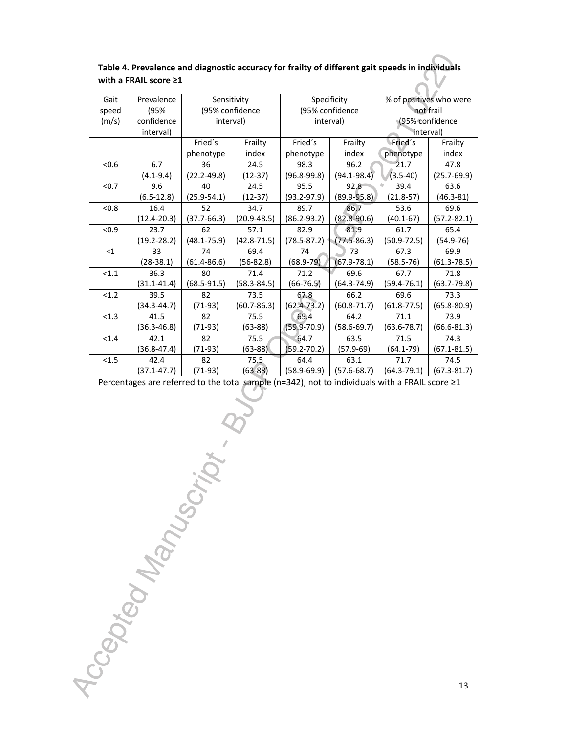| Gait  | Prevalence      | Sensitivity     |                 | Specificity     |                 | % of positives who were |                 |
|-------|-----------------|-----------------|-----------------|-----------------|-----------------|-------------------------|-----------------|
| speed | (95%            | (95% confidence |                 | (95% confidence |                 | not frail               |                 |
| (m/s) | confidence      | interval)       |                 | interval)       |                 | (95% confidence         |                 |
|       | interval)       |                 |                 |                 |                 | interval)               |                 |
|       |                 | Fried's         | Frailty         | Fried's         | Frailty         | Fried's                 | Frailty         |
|       |                 | phenotype       | index           | phenotype       | index           | phenotype               | index           |
| < 0.6 | 6.7             | 36              | 24.5            | 98.3            | 96.2            | 21.7                    | 47.8            |
|       | $(4.1 - 9.4)$   | $(22.2 - 49.8)$ | $(12-37)$       | $(96.8 - 99.8)$ | $(94.1 - 98.4)$ | $(3.5 - 40)$            | $(25.7 - 69.9)$ |
| < 0.7 | 9.6             | 40              | 24.5            | 95.5            | 92.8            | 39.4                    | 63.6            |
|       | $(6.5-12.8)$    | $(25.9 - 54.1)$ | $(12-37)$       | $(93.2 - 97.9)$ | $(89.9 - 95.8)$ | $(21.8-57)$             | $(46.3 - 81)$   |
| < 0.8 | 16.4            | 52              | 34.7            | 89.7            | 86.7            | 53.6                    | 69.6            |
|       | $(12.4 - 20.3)$ | $(37.7 - 66.3)$ | $(20.9 - 48.5)$ | $(86.2 - 93.2)$ | $(82.8 - 90.6)$ | $(40.1 - 67)$           | $(57.2 - 82.1)$ |
| < 0.9 | 23.7            | 62              | 57.1            | 82.9            | 81.9            | 61.7                    | 65.4            |
|       | $(19.2 - 28.2)$ | $(48.1 - 75.9)$ | $(42.8 - 71.5)$ | $(78.5 - 87.2)$ | $(77.5 - 86.3)$ | $(50.9 - 72.5)$         | $(54.9 - 76)$   |
| <1    | 33              | 74              | 69.4            | 74              | 73              | 67.3                    | 69.9            |
|       | $(28-38.1)$     | $(61.4 - 86.6)$ | $(56-82.8)$     | $(68.9 - 79)$   | (67.9-78.1)     | $(58.5 - 76)$           | $(61.3 - 78.5)$ |
| < 1.1 | 36.3            | 80              | 71.4            | 71.2            | 69.6            | 67.7                    | 71.8            |
|       | $(31.1 - 41.4)$ | $(68.5 - 91.5)$ | $(58.3 - 84.5)$ | $(66-76.5)$     | (64.3-74.9)     | $(59.4 - 76.1)$         | $(63.7 - 79.8)$ |
| < 1.2 | 39.5            | 82              | 73.5            | 67.8            | 66.2            | 69.6                    | 73.3            |
|       | $(34.3 - 44.7)$ | $(71-93)$       | $(60.7 - 86.3)$ | $(62.4 - 73.2)$ | $(60.8 - 71.7)$ | $(61.8 - 77.5)$         | $(65.8 - 80.9)$ |
| < 1.3 | 41.5            | 82              | 75.5            | 65.4            | 64.2            | 71.1                    | 73.9            |
|       | $(36.3 - 46.8)$ | $(71-93)$       | $(63-88)$       | $(59.9 - 70.9)$ | $(58.6 - 69.7)$ | $(63.6 - 78.7)$         | $(66.6 - 81.3)$ |
| < 1.4 | 42.1            | 82              | 75.5            | 64.7            | 63.5            | 71.5                    | 74.3            |
|       | $(36.8 - 47.4)$ | $(71-93)$       | $(63-88)$       | $(59.2 - 70.2)$ | $(57.9 - 69)$   | $(64.1 - 79)$           | $(67.1 - 81.5)$ |
| < 1.5 | 42.4            | 82              | 75.5            | 64.4            | 63.1            | 71.7                    | 74.5            |
|       | $(37.1 - 47.7)$ | $(71-93)$       | $(63 - 88)$     | $(58.9 - 69.9)$ | $(57.6 - 68.7)$ | $(64.3 - 79.1)$         | $(67.3 - 81.7)$ |

**Table 4. Prevalence and diagnostic accuracy for frailty of different gait speeds in individuals with a FRAIL score ≥1**

Percentages are referred to the total sample (n=342), not to individuals with a FRAIL score ≥1